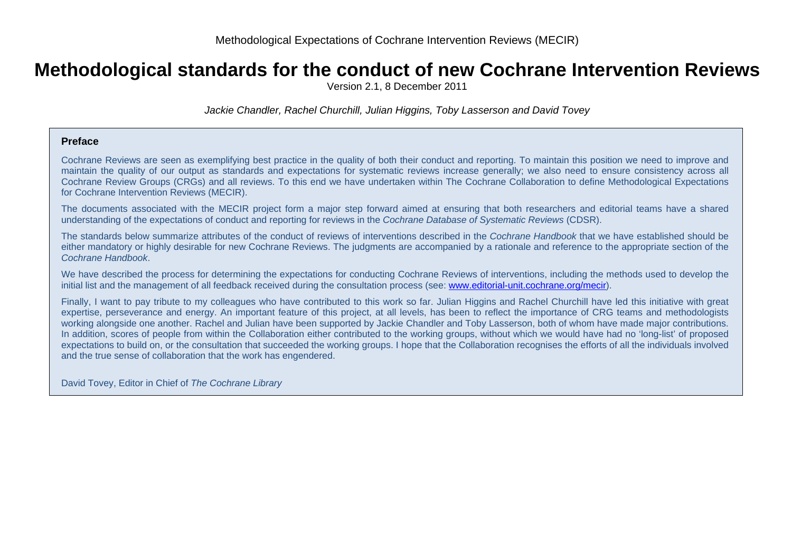## **Methodological standards for the conduct of new Cochrane Intervention Reviews**

Version 2.1, 8 December 2011

*Jackie Chandler, Rachel Churchill, Julian Higgins, Toby Lasserson and David Tovey* 

## **Preface**

Cochrane Reviews are seen as exemplifying best practice in the quality of both their conduct and reporting. To maintain this position we need to improve and maintain the quality of our output as standards and expectations for systematic reviews increase generally; we also need to ensure consistency across all Cochrane Review Groups (CRGs) and all reviews. To this end we have undertaken within The Cochrane Collaboration to define Methodological Expectations for Cochrane Intervention Reviews (MECIR).

The documents associated with the MECIR project form a major step forward aimed at ensuring that both researchers and editorial teams have a shared understanding of the expectations of conduct and reporting for reviews in the *Cochrane Database of Systematic Reviews* (CDSR).

The standards below summarize attributes of the conduct of reviews of interventions described in the *Cochrane Handbook* that we have established should be either mandatory or highly desirable for new Cochrane Reviews. The judgments are accompanied by a rationale and reference to the appropriate section of the *Cochrane Handbook*.

We have described the process for determining the expectations for conducting Cochrane Reviews of interventions, including the methods used to develop the initial list and the management of all feedback received during the consultation process (see: www.editorial-unit.cochrane.org/mecir).

Finally, I want to pay tribute to my colleagues who have contributed to this work so far. Julian Higgins and Rachel Churchill have led this initiative with great expertise, perseverance and energy. An important feature of this project, at all levels, has been to reflect the importance of CRG teams and methodologists working alongside one another. Rachel and Julian have been supported by Jackie Chandler and Toby Lasserson, both of whom have made major contributions. In addition, scores of people from within the Collaboration either contributed to the working groups, without which we would have had no 'long-list' of proposed expectations to build on, or the consultation that succeeded the working groups. I hope that the Collaboration recognises the efforts of all the individuals involved and the true sense of collaboration that the work has engendered.

David Tovey, Editor in Chief of *The Cochrane Library*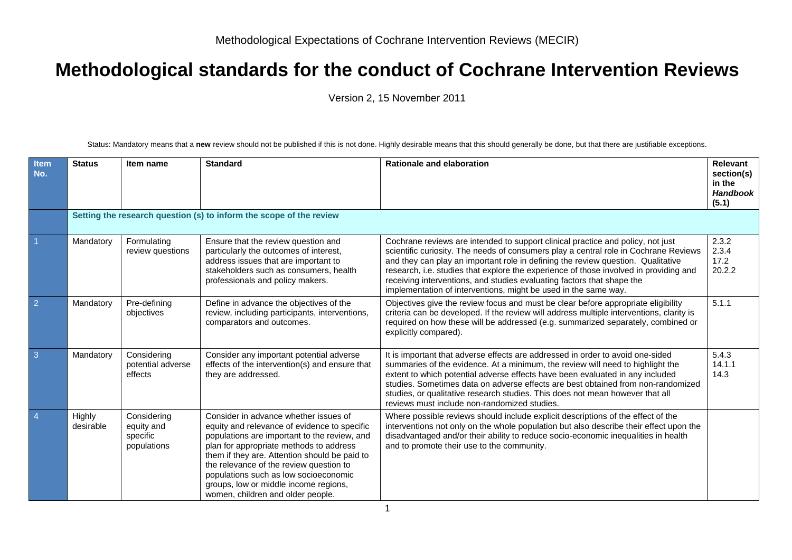## **Methodological standards for the conduct of Cochrane Intervention Reviews**

Version 2, 15 November 2011

Status: Mandatory means that a new review should not be published if this is not done. Highly desirable means that this should generally be done, but that there are justifiable exceptions.

| <b>Item</b><br>No. | <b>Status</b>       | Item name                                            | <b>Standard</b>                                                                                                                                                                                                                                                                                                                                                                                     | <b>Rationale and elaboration</b>                                                                                                                                                                                                                                                                                                                                                                                                                                                                  | Relevant<br>section(s)<br>in the<br><b>Handbook</b><br>(5.1) |
|--------------------|---------------------|------------------------------------------------------|-----------------------------------------------------------------------------------------------------------------------------------------------------------------------------------------------------------------------------------------------------------------------------------------------------------------------------------------------------------------------------------------------------|---------------------------------------------------------------------------------------------------------------------------------------------------------------------------------------------------------------------------------------------------------------------------------------------------------------------------------------------------------------------------------------------------------------------------------------------------------------------------------------------------|--------------------------------------------------------------|
|                    |                     |                                                      | Setting the research question (s) to inform the scope of the review                                                                                                                                                                                                                                                                                                                                 |                                                                                                                                                                                                                                                                                                                                                                                                                                                                                                   |                                                              |
|                    | Mandatory           | Formulating<br>review questions                      | Ensure that the review question and<br>particularly the outcomes of interest,<br>address issues that are important to<br>stakeholders such as consumers, health<br>professionals and policy makers.                                                                                                                                                                                                 | Cochrane reviews are intended to support clinical practice and policy, not just<br>scientific curiosity. The needs of consumers play a central role in Cochrane Reviews<br>and they can play an important role in defining the review question. Qualitative<br>research, i.e. studies that explore the experience of those involved in providing and<br>receiving interventions, and studies evaluating factors that shape the<br>implementation of interventions, might be used in the same way. | 2.3.2<br>2.3.4<br>17.2<br>20.2.2                             |
| $\overline{2}$     | Mandatory           | Pre-defining<br>objectives                           | Define in advance the objectives of the<br>review, including participants, interventions,<br>comparators and outcomes.                                                                                                                                                                                                                                                                              | Objectives give the review focus and must be clear before appropriate eligibility<br>criteria can be developed. If the review will address multiple interventions, clarity is<br>required on how these will be addressed (e.g. summarized separately, combined or<br>explicitly compared).                                                                                                                                                                                                        | 5.1.1                                                        |
| $\overline{3}$     | Mandatory           | Considering<br>potential adverse<br>effects          | Consider any important potential adverse<br>effects of the intervention(s) and ensure that<br>they are addressed.                                                                                                                                                                                                                                                                                   | It is important that adverse effects are addressed in order to avoid one-sided<br>summaries of the evidence. At a minimum, the review will need to highlight the<br>extent to which potential adverse effects have been evaluated in any included<br>studies. Sometimes data on adverse effects are best obtained from non-randomized<br>studies, or qualitative research studies. This does not mean however that all<br>reviews must include non-randomized studies.                            | 5.4.3<br>14.1.1<br>14.3                                      |
| $\overline{4}$     | Highly<br>desirable | Considering<br>equity and<br>specific<br>populations | Consider in advance whether issues of<br>equity and relevance of evidence to specific<br>populations are important to the review, and<br>plan for appropriate methods to address<br>them if they are. Attention should be paid to<br>the relevance of the review question to<br>populations such as low socioeconomic<br>groups, low or middle income regions,<br>women, children and older people. | Where possible reviews should include explicit descriptions of the effect of the<br>interventions not only on the whole population but also describe their effect upon the<br>disadvantaged and/or their ability to reduce socio-economic inequalities in health<br>and to promote their use to the community.                                                                                                                                                                                    |                                                              |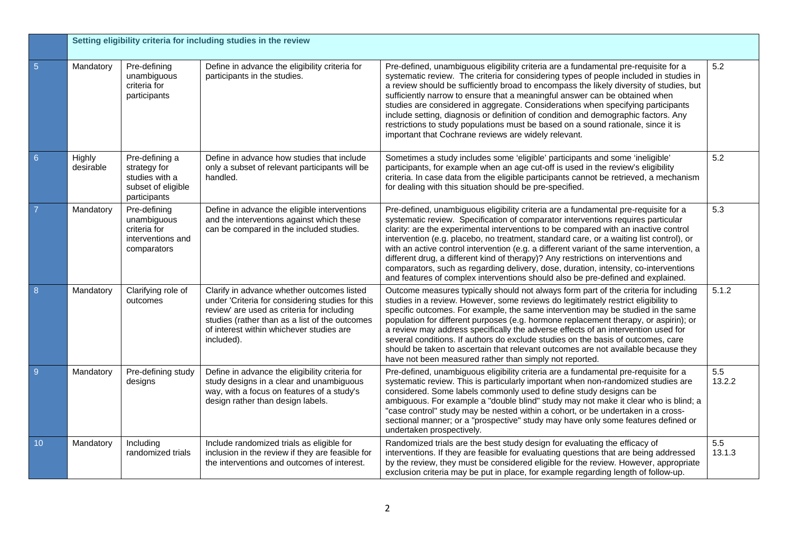|                | Setting eligibility criteria for including studies in the review |                                                                                        |                                                                                                                                                                                                                                                          |                                                                                                                                                                                                                                                                                                                                                                                                                                                                                                                                                                                                                                                                                                                          |               |  |  |  |
|----------------|------------------------------------------------------------------|----------------------------------------------------------------------------------------|----------------------------------------------------------------------------------------------------------------------------------------------------------------------------------------------------------------------------------------------------------|--------------------------------------------------------------------------------------------------------------------------------------------------------------------------------------------------------------------------------------------------------------------------------------------------------------------------------------------------------------------------------------------------------------------------------------------------------------------------------------------------------------------------------------------------------------------------------------------------------------------------------------------------------------------------------------------------------------------------|---------------|--|--|--|
| $\overline{5}$ | Mandatory                                                        | Pre-defining<br>unambiguous<br>criteria for<br>participants                            | Define in advance the eligibility criteria for<br>participants in the studies.                                                                                                                                                                           | Pre-defined, unambiguous eligibility criteria are a fundamental pre-requisite for a<br>systematic review. The criteria for considering types of people included in studies in<br>a review should be sufficiently broad to encompass the likely diversity of studies, but<br>sufficiently narrow to ensure that a meaningful answer can be obtained when<br>studies are considered in aggregate. Considerations when specifying participants<br>include setting, diagnosis or definition of condition and demographic factors. Any<br>restrictions to study populations must be based on a sound rationale, since it is<br>important that Cochrane reviews are widely relevant.                                           | 5.2           |  |  |  |
| $6\phantom{1}$ | Highly<br>desirable                                              | Pre-defining a<br>strategy for<br>studies with a<br>subset of eligible<br>participants | Define in advance how studies that include<br>only a subset of relevant participants will be<br>handled.                                                                                                                                                 | Sometimes a study includes some 'eligible' participants and some 'ineligible'<br>participants, for example when an age cut-off is used in the review's eligibility<br>criteria. In case data from the eligible participants cannot be retrieved, a mechanism<br>for dealing with this situation should be pre-specified.                                                                                                                                                                                                                                                                                                                                                                                                 | 5.2           |  |  |  |
| $\overline{7}$ | Mandatory                                                        | Pre-defining<br>unambiguous<br>criteria for<br>interventions and<br>comparators        | Define in advance the eligible interventions<br>and the interventions against which these<br>can be compared in the included studies.                                                                                                                    | Pre-defined, unambiguous eligibility criteria are a fundamental pre-requisite for a<br>systematic review. Specification of comparator interventions requires particular<br>clarity: are the experimental interventions to be compared with an inactive control<br>intervention (e.g. placebo, no treatment, standard care, or a waiting list control), or<br>with an active control intervention (e.g. a different variant of the same intervention, a<br>different drug, a different kind of therapy)? Any restrictions on interventions and<br>comparators, such as regarding delivery, dose, duration, intensity, co-interventions<br>and features of complex interventions should also be pre-defined and explained. | 5.3           |  |  |  |
| 8              | Mandatory                                                        | Clarifying role of<br>outcomes                                                         | Clarify in advance whether outcomes listed<br>under 'Criteria for considering studies for this<br>review' are used as criteria for including<br>studies (rather than as a list of the outcomes<br>of interest within whichever studies are<br>included). | Outcome measures typically should not always form part of the criteria for including<br>studies in a review. However, some reviews do legitimately restrict eligibility to<br>specific outcomes. For example, the same intervention may be studied in the same<br>population for different purposes (e.g. hormone replacement therapy, or aspirin); or<br>a review may address specifically the adverse effects of an intervention used for<br>several conditions. If authors do exclude studies on the basis of outcomes, care<br>should be taken to ascertain that relevant outcomes are not available because they<br>have not been measured rather than simply not reported.                                         | 5.1.2         |  |  |  |
| 9              | Mandatory                                                        | Pre-defining study<br>designs                                                          | Define in advance the eligibility criteria for<br>study designs in a clear and unambiguous<br>way, with a focus on features of a study's<br>design rather than design labels.                                                                            | Pre-defined, unambiguous eligibility criteria are a fundamental pre-requisite for a<br>systematic review. This is particularly important when non-randomized studies are<br>considered. Some labels commonly used to define study designs can be<br>ambiguous. For example a "double blind" study may not make it clear who is blind; a<br>"case control" study may be nested within a cohort, or be undertaken in a cross-<br>sectional manner; or a "prospective" study may have only some features defined or<br>undertaken prospectively.                                                                                                                                                                            | 5.5<br>13.2.2 |  |  |  |
| 10             | Mandatory                                                        | Including<br>randomized trials                                                         | Include randomized trials as eligible for<br>inclusion in the review if they are feasible for<br>the interventions and outcomes of interest.                                                                                                             | Randomized trials are the best study design for evaluating the efficacy of<br>interventions. If they are feasible for evaluating questions that are being addressed<br>by the review, they must be considered eligible for the review. However, appropriate<br>exclusion criteria may be put in place, for example regarding length of follow-up.                                                                                                                                                                                                                                                                                                                                                                        | 5.5<br>13.1.3 |  |  |  |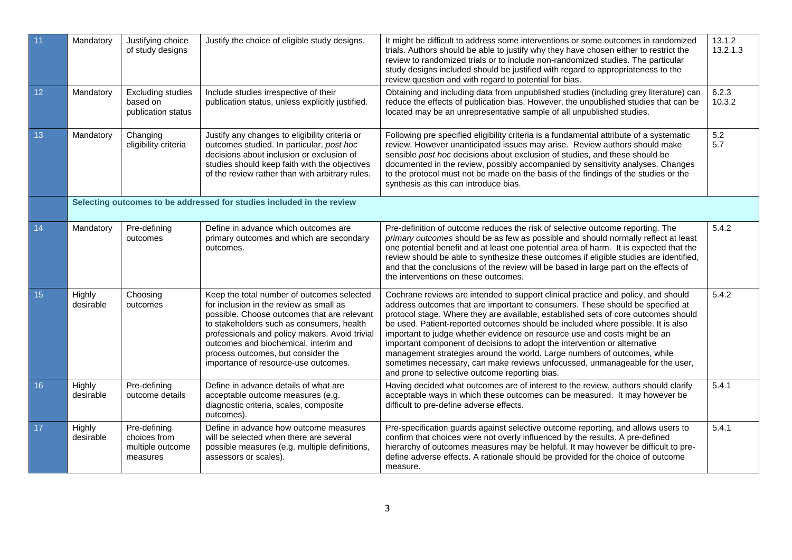| 11 | Mandatory           | Justifying choice<br>of study designs                        | Justify the choice of eligible study designs.                                                                                                                                                                                                                                                                                                              | It might be difficult to address some interventions or some outcomes in randomized<br>trials. Authors should be able to justify why they have chosen either to restrict the<br>review to randomized trials or to include non-randomized studies. The particular<br>study designs included should be justified with regard to appropriateness to the<br>review question and with regard to potential for bias.                                                                                                                                                                                                                                                                                                         | 13.1.2<br>13.2.1.3 |
|----|---------------------|--------------------------------------------------------------|------------------------------------------------------------------------------------------------------------------------------------------------------------------------------------------------------------------------------------------------------------------------------------------------------------------------------------------------------------|-----------------------------------------------------------------------------------------------------------------------------------------------------------------------------------------------------------------------------------------------------------------------------------------------------------------------------------------------------------------------------------------------------------------------------------------------------------------------------------------------------------------------------------------------------------------------------------------------------------------------------------------------------------------------------------------------------------------------|--------------------|
| 12 | Mandatory           | <b>Excluding studies</b><br>based on<br>publication status   | Include studies irrespective of their<br>publication status, unless explicitly justified.                                                                                                                                                                                                                                                                  | Obtaining and including data from unpublished studies (including grey literature) can<br>reduce the effects of publication bias. However, the unpublished studies that can be<br>located may be an unrepresentative sample of all unpublished studies.                                                                                                                                                                                                                                                                                                                                                                                                                                                                | 6.2.3<br>10.3.2    |
| 13 | Mandatory           | Changing<br>eligibility criteria                             | Justify any changes to eligibility criteria or<br>outcomes studied. In particular, post hoc<br>decisions about inclusion or exclusion of<br>studies should keep faith with the objectives<br>of the review rather than with arbitrary rules.                                                                                                               | Following pre specified eligibility criteria is a fundamental attribute of a systematic<br>review. However unanticipated issues may arise. Review authors should make<br>sensible post hoc decisions about exclusion of studies, and these should be<br>documented in the review, possibly accompanied by sensitivity analyses. Changes<br>to the protocol must not be made on the basis of the findings of the studies or the<br>synthesis as this can introduce bias.                                                                                                                                                                                                                                               | 5.2<br>5.7         |
|    |                     |                                                              | Selecting outcomes to be addressed for studies included in the review                                                                                                                                                                                                                                                                                      |                                                                                                                                                                                                                                                                                                                                                                                                                                                                                                                                                                                                                                                                                                                       |                    |
| 14 | Mandatory           | Pre-defining<br>outcomes                                     | Define in advance which outcomes are<br>primary outcomes and which are secondary<br>outcomes.                                                                                                                                                                                                                                                              | Pre-definition of outcome reduces the risk of selective outcome reporting. The<br>primary outcomes should be as few as possible and should normally reflect at least<br>one potential benefit and at least one potential area of harm. It is expected that the<br>review should be able to synthesize these outcomes if eligible studies are identified,<br>and that the conclusions of the review will be based in large part on the effects of<br>the interventions on these outcomes.                                                                                                                                                                                                                              | 5.4.2              |
| 15 | Highly<br>desirable | Choosing<br>outcomes                                         | Keep the total number of outcomes selected<br>for inclusion in the review as small as<br>possible. Choose outcomes that are relevant<br>to stakeholders such as consumers, health<br>professionals and policy makers. Avoid trivial<br>outcomes and biochemical, interim and<br>process outcomes, but consider the<br>importance of resource-use outcomes. | Cochrane reviews are intended to support clinical practice and policy, and should<br>address outcomes that are important to consumers. These should be specified at<br>protocol stage. Where they are available, established sets of core outcomes should<br>be used. Patient-reported outcomes should be included where possible. It is also<br>important to judge whether evidence on resource use and costs might be an<br>important component of decisions to adopt the intervention or alternative<br>management strategies around the world. Large numbers of outcomes, while<br>sometimes necessary, can make reviews unfocussed, unmanageable for the user,<br>and prone to selective outcome reporting bias. | 5.4.2              |
| 16 | Highly<br>desirable | Pre-defining<br>outcome details                              | Define in advance details of what are<br>acceptable outcome measures (e.g.<br>diagnostic criteria, scales, composite<br>outcomes).                                                                                                                                                                                                                         | Having decided what outcomes are of interest to the review, authors should clarify<br>acceptable ways in which these outcomes can be measured. It may however be<br>difficult to pre-define adverse effects.                                                                                                                                                                                                                                                                                                                                                                                                                                                                                                          | 5.4.1              |
| 17 | Highly<br>desirable | Pre-defining<br>choices from<br>multiple outcome<br>measures | Define in advance how outcome measures<br>will be selected when there are several<br>possible measures (e.g. multiple definitions,<br>assessors or scales).                                                                                                                                                                                                | Pre-specification guards against selective outcome reporting, and allows users to<br>confirm that choices were not overly influenced by the results. A pre-defined<br>hierarchy of outcomes measures may be helpful. It may however be difficult to pre-<br>define adverse effects. A rationale should be provided for the choice of outcome<br>measure.                                                                                                                                                                                                                                                                                                                                                              | 5.4.1              |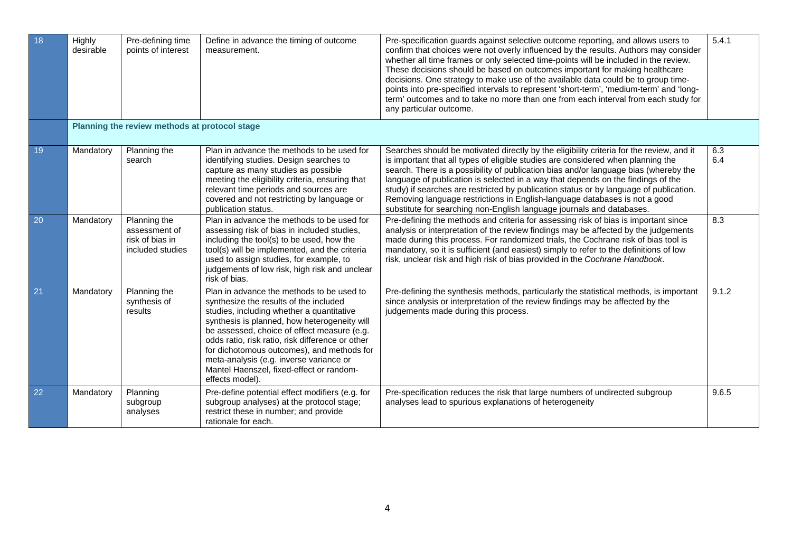| 18 | Highly<br>desirable | Pre-defining time<br>points of interest                              | Define in advance the timing of outcome<br>measurement.                                                                                                                                                                                                                                                                                                                                                                                     | Pre-specification guards against selective outcome reporting, and allows users to<br>confirm that choices were not overly influenced by the results. Authors may consider<br>whether all time frames or only selected time-points will be included in the review.<br>These decisions should be based on outcomes important for making healthcare<br>decisions. One strategy to make use of the available data could be to group time-<br>points into pre-specified intervals to represent 'short-term', 'medium-term' and 'long-<br>term' outcomes and to take no more than one from each interval from each study for<br>any particular outcome. | 5.4.1      |
|----|---------------------|----------------------------------------------------------------------|---------------------------------------------------------------------------------------------------------------------------------------------------------------------------------------------------------------------------------------------------------------------------------------------------------------------------------------------------------------------------------------------------------------------------------------------|---------------------------------------------------------------------------------------------------------------------------------------------------------------------------------------------------------------------------------------------------------------------------------------------------------------------------------------------------------------------------------------------------------------------------------------------------------------------------------------------------------------------------------------------------------------------------------------------------------------------------------------------------|------------|
|    |                     | Planning the review methods at protocol stage                        |                                                                                                                                                                                                                                                                                                                                                                                                                                             |                                                                                                                                                                                                                                                                                                                                                                                                                                                                                                                                                                                                                                                   |            |
| 19 | Mandatory           | Planning the<br>search                                               | Plan in advance the methods to be used for<br>identifying studies. Design searches to<br>capture as many studies as possible<br>meeting the eligibility criteria, ensuring that<br>relevant time periods and sources are<br>covered and not restricting by language or<br>publication status.                                                                                                                                               | Searches should be motivated directly by the eligibility criteria for the review, and it<br>is important that all types of eligible studies are considered when planning the<br>search. There is a possibility of publication bias and/or language bias (whereby the<br>language of publication is selected in a way that depends on the findings of the<br>study) if searches are restricted by publication status or by language of publication.<br>Removing language restrictions in English-language databases is not a good<br>substitute for searching non-English language journals and databases.                                         | 6.3<br>6.4 |
| 20 | Mandatory           | Planning the<br>assessment of<br>risk of bias in<br>included studies | Plan in advance the methods to be used for<br>assessing risk of bias in included studies,<br>including the tool(s) to be used, how the<br>tool(s) will be implemented, and the criteria<br>used to assign studies, for example, to<br>judgements of low risk, high risk and unclear<br>risk of bias.                                                                                                                                        | Pre-defining the methods and criteria for assessing risk of bias is important since<br>analysis or interpretation of the review findings may be affected by the judgements<br>made during this process. For randomized trials, the Cochrane risk of bias tool is<br>mandatory, so it is sufficient (and easiest) simply to refer to the definitions of low<br>risk, unclear risk and high risk of bias provided in the Cochrane Handbook.                                                                                                                                                                                                         | 8.3        |
| 21 | Mandatory           | Planning the<br>synthesis of<br>results                              | Plan in advance the methods to be used to<br>synthesize the results of the included<br>studies, including whether a quantitative<br>synthesis is planned, how heterogeneity will<br>be assessed, choice of effect measure (e.g.<br>odds ratio, risk ratio, risk difference or other<br>for dichotomous outcomes), and methods for<br>meta-analysis (e.g. inverse variance or<br>Mantel Haenszel, fixed-effect or random-<br>effects model). | Pre-defining the synthesis methods, particularly the statistical methods, is important<br>since analysis or interpretation of the review findings may be affected by the<br>judgements made during this process.                                                                                                                                                                                                                                                                                                                                                                                                                                  | 9.1.2      |
| 22 | Mandatory           | Planning<br>subgroup<br>analyses                                     | Pre-define potential effect modifiers (e.g. for<br>subgroup analyses) at the protocol stage;<br>restrict these in number; and provide<br>rationale for each.                                                                                                                                                                                                                                                                                | Pre-specification reduces the risk that large numbers of undirected subgroup<br>analyses lead to spurious explanations of heterogeneity                                                                                                                                                                                                                                                                                                                                                                                                                                                                                                           | 9.6.5      |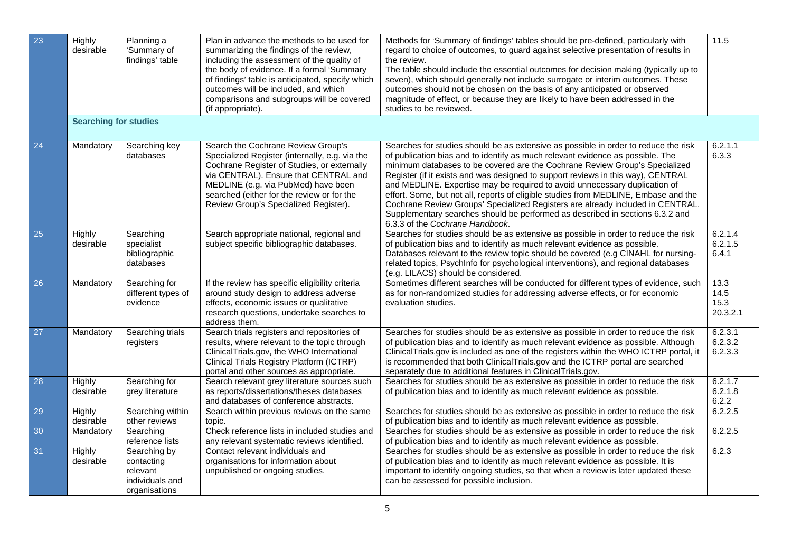| 23 | Highly<br>desirable          | Planning a<br>'Summary of<br>findings' table                               | Plan in advance the methods to be used for<br>summarizing the findings of the review,<br>including the assessment of the quality of<br>the body of evidence. If a formal 'Summary<br>of findings' table is anticipated, specify which<br>outcomes will be included, and which<br>comparisons and subgroups will be covered<br>(if appropriate). | Methods for 'Summary of findings' tables should be pre-defined, particularly with<br>regard to choice of outcomes, to guard against selective presentation of results in<br>the review.<br>The table should include the essential outcomes for decision making (typically up to<br>seven), which should generally not include surrogate or interim outcomes. These<br>outcomes should not be chosen on the basis of any anticipated or observed<br>magnitude of effect, or because they are likely to have been addressed in the<br>studies to be reviewed.                                                                                                                                                         | 11.5                             |
|----|------------------------------|----------------------------------------------------------------------------|-------------------------------------------------------------------------------------------------------------------------------------------------------------------------------------------------------------------------------------------------------------------------------------------------------------------------------------------------|---------------------------------------------------------------------------------------------------------------------------------------------------------------------------------------------------------------------------------------------------------------------------------------------------------------------------------------------------------------------------------------------------------------------------------------------------------------------------------------------------------------------------------------------------------------------------------------------------------------------------------------------------------------------------------------------------------------------|----------------------------------|
|    | <b>Searching for studies</b> |                                                                            |                                                                                                                                                                                                                                                                                                                                                 |                                                                                                                                                                                                                                                                                                                                                                                                                                                                                                                                                                                                                                                                                                                     |                                  |
| 24 | Mandatory                    | Searching key<br>databases                                                 | Search the Cochrane Review Group's<br>Specialized Register (internally, e.g. via the<br>Cochrane Register of Studies, or externally<br>via CENTRAL). Ensure that CENTRAL and<br>MEDLINE (e.g. via PubMed) have been<br>searched (either for the review or for the<br>Review Group's Specialized Register).                                      | Searches for studies should be as extensive as possible in order to reduce the risk<br>of publication bias and to identify as much relevant evidence as possible. The<br>minimum databases to be covered are the Cochrane Review Group's Specialized<br>Register (if it exists and was designed to support reviews in this way), CENTRAL<br>and MEDLINE. Expertise may be required to avoid unnecessary duplication of<br>effort. Some, but not all, reports of eligible studies from MEDLINE, Embase and the<br>Cochrane Review Groups' Specialized Registers are already included in CENTRAL.<br>Supplementary searches should be performed as described in sections 6.3.2 and<br>6.3.3 of the Cochrane Handbook. | 6.2.1.1<br>6.3.3                 |
| 25 | Highly<br>desirable          | Searching<br>specialist<br>bibliographic<br>databases                      | Search appropriate national, regional and<br>subject specific bibliographic databases.                                                                                                                                                                                                                                                          | Searches for studies should be as extensive as possible in order to reduce the risk<br>of publication bias and to identify as much relevant evidence as possible.<br>Databases relevant to the review topic should be covered (e.g CINAHL for nursing-<br>related topics, PsychInfo for psychological interventions), and regional databases<br>(e.g. LILACS) should be considered.                                                                                                                                                                                                                                                                                                                                 | 6.2.1.4<br>6.2.1.5<br>6.4.1      |
| 26 | Mandatory                    | Searching for<br>different types of<br>evidence                            | If the review has specific eligibility criteria<br>around study design to address adverse<br>effects, economic issues or qualitative<br>research questions, undertake searches to<br>address them.                                                                                                                                              | Sometimes different searches will be conducted for different types of evidence, such<br>as for non-randomized studies for addressing adverse effects, or for economic<br>evaluation studies.                                                                                                                                                                                                                                                                                                                                                                                                                                                                                                                        | 13.3<br>14.5<br>15.3<br>20.3.2.1 |
| 27 | Mandatory                    | Searching trials<br>registers                                              | Search trials registers and repositories of<br>results, where relevant to the topic through<br>ClinicalTrials.gov, the WHO International<br>Clinical Trials Registry Platform (ICTRP)<br>portal and other sources as appropriate.                                                                                                               | Searches for studies should be as extensive as possible in order to reduce the risk<br>of publication bias and to identify as much relevant evidence as possible. Although<br>ClinicalTrials.gov is included as one of the registers within the WHO ICTRP portal, it<br>is recommended that both ClinicalTrials.gov and the ICTRP portal are searched<br>separately due to additional features in ClinicalTrials.gov.                                                                                                                                                                                                                                                                                               | 6.2.3.1<br>6.2.3.2<br>6.2.3.3    |
| 28 | Highly<br>desirable          | Searching for<br>grey literature                                           | Search relevant grey literature sources such<br>as reports/dissertations/theses databases<br>and databases of conference abstracts.                                                                                                                                                                                                             | Searches for studies should be as extensive as possible in order to reduce the risk<br>of publication bias and to identify as much relevant evidence as possible.                                                                                                                                                                                                                                                                                                                                                                                                                                                                                                                                                   | 6.2.1.7<br>6.2.1.8<br>6.2.2      |
| 29 | Highly<br>desirable          | Searching within<br>other reviews                                          | Search within previous reviews on the same<br>topic.                                                                                                                                                                                                                                                                                            | Searches for studies should be as extensive as possible in order to reduce the risk<br>of publication bias and to identify as much relevant evidence as possible.                                                                                                                                                                                                                                                                                                                                                                                                                                                                                                                                                   | 6.2.2.5                          |
| 30 | Mandatory                    | Searching<br>reference lists                                               | Check reference lists in included studies and<br>any relevant systematic reviews identified.                                                                                                                                                                                                                                                    | Searches for studies should be as extensive as possible in order to reduce the risk<br>of publication bias and to identify as much relevant evidence as possible.                                                                                                                                                                                                                                                                                                                                                                                                                                                                                                                                                   | 6.2.2.5                          |
| 31 | Highly<br>desirable          | Searching by<br>contacting<br>relevant<br>individuals and<br>organisations | Contact relevant individuals and<br>organisations for information about<br>unpublished or ongoing studies.                                                                                                                                                                                                                                      | Searches for studies should be as extensive as possible in order to reduce the risk<br>of publication bias and to identify as much relevant evidence as possible. It is<br>important to identify ongoing studies, so that when a review is later updated these<br>can be assessed for possible inclusion.                                                                                                                                                                                                                                                                                                                                                                                                           | 6.2.3                            |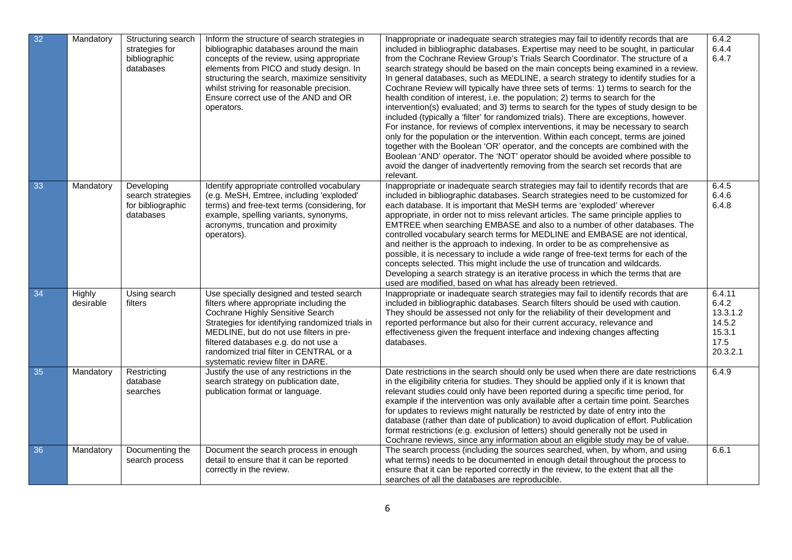| 32 | Mandatory           | Structuring search<br>strategies for<br>bibliographic<br>databases | Inform the structure of search strategies in<br>bibliographic databases around the main<br>concepts of the review, using appropriate<br>elements from PICO and study design. In<br>structuring the search, maximize sensitivity<br>whilst striving for reasonable precision.<br>Ensure correct use of the AND and OR<br>operators.            | Inappropriate or inadequate search strategies may fail to identify records that are<br>included in bibliographic databases. Expertise may need to be sought, in particular<br>from the Cochrane Review Group's Trials Search Coordinator. The structure of a<br>search strategy should be based on the main concepts being examined in a review.<br>In general databases, such as MEDLINE, a search strategy to identify studies for a<br>Cochrane Review will typically have three sets of terms: 1) terms to search for the<br>health condition of interest, i.e. the population; 2) terms to search for the<br>intervention(s) evaluated; and 3) terms to search for the types of study design to be<br>included (typically a 'filter' for randomized trials). There are exceptions, however.<br>For instance, for reviews of complex interventions, it may be necessary to search<br>only for the population or the intervention. Within each concept, terms are joined<br>together with the Boolean 'OR' operator, and the concepts are combined with the<br>Boolean 'AND' operator. The 'NOT' operator should be avoided where possible to<br>avoid the danger of inadvertently removing from the search set records that are<br>relevant. | 6.4.2<br>6.4.4<br>6.4.7                                             |
|----|---------------------|--------------------------------------------------------------------|-----------------------------------------------------------------------------------------------------------------------------------------------------------------------------------------------------------------------------------------------------------------------------------------------------------------------------------------------|--------------------------------------------------------------------------------------------------------------------------------------------------------------------------------------------------------------------------------------------------------------------------------------------------------------------------------------------------------------------------------------------------------------------------------------------------------------------------------------------------------------------------------------------------------------------------------------------------------------------------------------------------------------------------------------------------------------------------------------------------------------------------------------------------------------------------------------------------------------------------------------------------------------------------------------------------------------------------------------------------------------------------------------------------------------------------------------------------------------------------------------------------------------------------------------------------------------------------------------------------|---------------------------------------------------------------------|
| 33 | Mandatory           | Developing<br>search strategies<br>for bibliographic<br>databases  | Identify appropriate controlled vocabulary<br>(e.g. MeSH, Emtree, including 'exploded'<br>terms) and free-text terms (considering, for<br>example, spelling variants, synonyms,<br>acronyms, truncation and proximity<br>operators).                                                                                                          | Inappropriate or inadequate search strategies may fail to identify records that are<br>included in bibliographic databases. Search strategies need to be customized for<br>each database. It is important that MeSH terms are 'exploded' wherever<br>appropriate, in order not to miss relevant articles. The same principle applies to<br>EMTREE when searching EMBASE and also to a number of other databases. The<br>controlled vocabulary search terms for MEDLINE and EMBASE are not identical,<br>and neither is the approach to indexing. In order to be as comprehensive as<br>possible, it is necessary to include a wide range of free-text terms for each of the<br>concepts selected. This might include the use of truncation and wildcards.<br>Developing a search strategy is an iterative process in which the terms that are<br>used are modified, based on what has already been retrieved.                                                                                                                                                                                                                                                                                                                                    | 6.4.5<br>6.4.6<br>6.4.8                                             |
| 34 | Highly<br>desirable | Using search<br>filters                                            | Use specially designed and tested search<br>filters where appropriate including the<br>Cochrane Highly Sensitive Search<br>Strategies for identifying randomized trials in<br>MEDLINE, but do not use filters in pre-<br>filtered databases e.g. do not use a<br>randomized trial filter in CENTRAL or a<br>systematic review filter in DARE. | Inappropriate or inadequate search strategies may fail to identify records that are<br>included in bibliographic databases. Search filters should be used with caution.<br>They should be assessed not only for the reliability of their development and<br>reported performance but also for their current accuracy, relevance and<br>effectiveness given the frequent interface and indexing changes affecting<br>databases.                                                                                                                                                                                                                                                                                                                                                                                                                                                                                                                                                                                                                                                                                                                                                                                                                   | 6.4.11<br>6.4.2<br>13.3.1.2<br>14.5.2<br>15.3.1<br>17.5<br>20.3.2.1 |
| 35 | Mandatory           | Restricting<br>database<br>searches                                | Justify the use of any restrictions in the<br>search strategy on publication date,<br>publication format or language.                                                                                                                                                                                                                         | Date restrictions in the search should only be used when there are date restrictions<br>in the eligibility criteria for studies. They should be applied only if it is known that<br>relevant studies could only have been reported during a specific time period, for<br>example if the intervention was only available after a certain time point. Searches<br>for updates to reviews might naturally be restricted by date of entry into the<br>database (rather than date of publication) to avoid duplication of effort. Publication<br>format restrictions (e.g. exclusion of letters) should generally not be used in<br>Cochrane reviews, since any information about an eligible study may be of value.                                                                                                                                                                                                                                                                                                                                                                                                                                                                                                                                  | 6.4.9                                                               |
| 36 | Mandatory           | Documenting the<br>search process                                  | Document the search process in enough<br>detail to ensure that it can be reported<br>correctly in the review.                                                                                                                                                                                                                                 | The search process (including the sources searched, when, by whom, and using<br>what terms) needs to be documented in enough detail throughout the process to<br>ensure that it can be reported correctly in the review, to the extent that all the<br>searches of all the databases are reproducible.                                                                                                                                                                                                                                                                                                                                                                                                                                                                                                                                                                                                                                                                                                                                                                                                                                                                                                                                           | 6.6.1                                                               |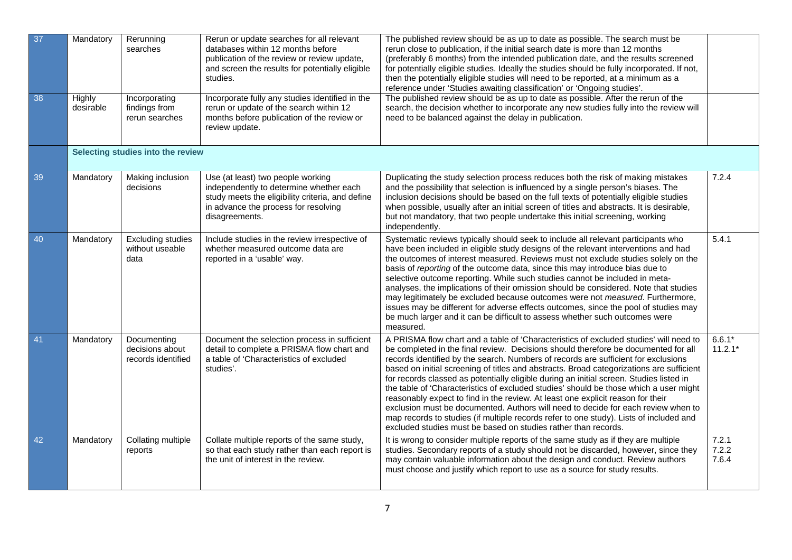| 37 | Mandatory           | Rerunning<br>searches                                | Rerun or update searches for all relevant<br>databases within 12 months before<br>publication of the review or review update,<br>and screen the results for potentially eligible<br>studies. | The published review should be as up to date as possible. The search must be<br>rerun close to publication, if the initial search date is more than 12 months<br>(preferably 6 months) from the intended publication date, and the results screened<br>for potentially eligible studies. Ideally the studies should be fully incorporated. If not,<br>then the potentially eligible studies will need to be reported, at a minimum as a<br>reference under 'Studies awaiting classification' or 'Ongoing studies'.                                                                                                                                                                                                                                                                                                                                                                    |                         |
|----|---------------------|------------------------------------------------------|----------------------------------------------------------------------------------------------------------------------------------------------------------------------------------------------|---------------------------------------------------------------------------------------------------------------------------------------------------------------------------------------------------------------------------------------------------------------------------------------------------------------------------------------------------------------------------------------------------------------------------------------------------------------------------------------------------------------------------------------------------------------------------------------------------------------------------------------------------------------------------------------------------------------------------------------------------------------------------------------------------------------------------------------------------------------------------------------|-------------------------|
| 38 | Highly<br>desirable | Incorporating<br>findings from<br>rerun searches     | Incorporate fully any studies identified in the<br>rerun or update of the search within 12<br>months before publication of the review or<br>review update.                                   | The published review should be as up to date as possible. After the rerun of the<br>search, the decision whether to incorporate any new studies fully into the review will<br>need to be balanced against the delay in publication.                                                                                                                                                                                                                                                                                                                                                                                                                                                                                                                                                                                                                                                   |                         |
|    |                     | Selecting studies into the review                    |                                                                                                                                                                                              |                                                                                                                                                                                                                                                                                                                                                                                                                                                                                                                                                                                                                                                                                                                                                                                                                                                                                       |                         |
| 39 | Mandatory           | Making inclusion<br>decisions                        | Use (at least) two people working<br>independently to determine whether each<br>study meets the eligibility criteria, and define<br>in advance the process for resolving<br>disagreements.   | Duplicating the study selection process reduces both the risk of making mistakes<br>and the possibility that selection is influenced by a single person's biases. The<br>inclusion decisions should be based on the full texts of potentially eligible studies<br>when possible, usually after an initial screen of titles and abstracts. It is desirable,<br>but not mandatory, that two people undertake this initial screening, working<br>independently.                                                                                                                                                                                                                                                                                                                                                                                                                          | 7.2.4                   |
| 40 | Mandatory           | <b>Excluding studies</b><br>without useable<br>data  | Include studies in the review irrespective of<br>whether measured outcome data are<br>reported in a 'usable' way.                                                                            | Systematic reviews typically should seek to include all relevant participants who<br>have been included in eligible study designs of the relevant interventions and had<br>the outcomes of interest measured. Reviews must not exclude studies solely on the<br>basis of reporting of the outcome data, since this may introduce bias due to<br>selective outcome reporting. While such studies cannot be included in meta-<br>analyses, the implications of their omission should be considered. Note that studies<br>may legitimately be excluded because outcomes were not measured. Furthermore,<br>issues may be different for adverse effects outcomes, since the pool of studies may<br>be much larger and it can be difficult to assess whether such outcomes were<br>measured.                                                                                               | 5.4.1                   |
| 41 | Mandatory           | Documenting<br>decisions about<br>records identified | Document the selection process in sufficient<br>detail to complete a PRISMA flow chart and<br>a table of 'Characteristics of excluded<br>studies'.                                           | A PRISMA flow chart and a table of 'Characteristics of excluded studies' will need to<br>be completed in the final review. Decisions should therefore be documented for all<br>records identified by the search. Numbers of records are sufficient for exclusions<br>based on initial screening of titles and abstracts. Broad categorizations are sufficient<br>for records classed as potentially eligible during an initial screen. Studies listed in<br>the table of 'Characteristics of excluded studies' should be those which a user might<br>reasonably expect to find in the review. At least one explicit reason for their<br>exclusion must be documented. Authors will need to decide for each review when to<br>map records to studies (if multiple records refer to one study). Lists of included and<br>excluded studies must be based on studies rather than records. | $6.6.1*$<br>$11.2.1*$   |
| 42 | Mandatory           | Collating multiple<br>reports                        | Collate multiple reports of the same study,<br>so that each study rather than each report is<br>the unit of interest in the review.                                                          | It is wrong to consider multiple reports of the same study as if they are multiple<br>studies. Secondary reports of a study should not be discarded, however, since they<br>may contain valuable information about the design and conduct. Review authors<br>must choose and justify which report to use as a source for study results.                                                                                                                                                                                                                                                                                                                                                                                                                                                                                                                                               | 7.2.1<br>7.2.2<br>7.6.4 |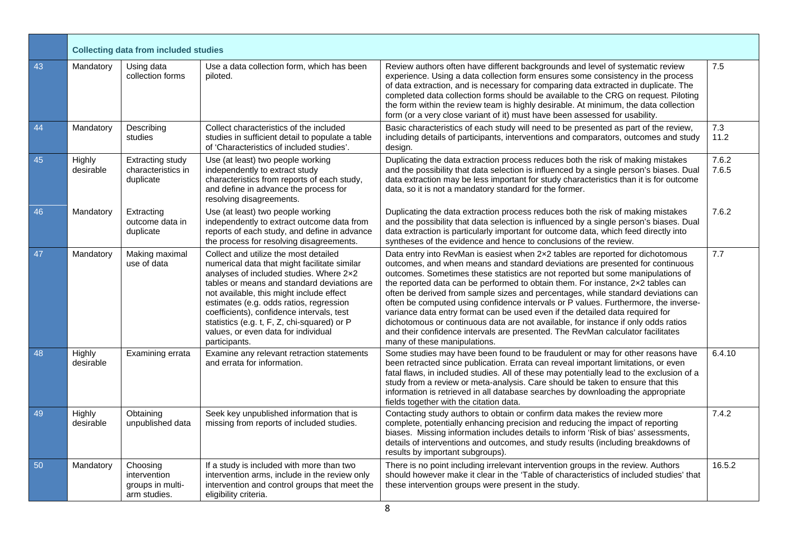|    | <b>Collecting data from included studies</b> |                                                              |                                                                                                                                                                                                                                                                                                                                                                                                                            |                                                                                                                                                                                                                                                                                                                                                                                                                                                                                                                                                                                                                                                                                                                                                                                                             |                |  |  |  |
|----|----------------------------------------------|--------------------------------------------------------------|----------------------------------------------------------------------------------------------------------------------------------------------------------------------------------------------------------------------------------------------------------------------------------------------------------------------------------------------------------------------------------------------------------------------------|-------------------------------------------------------------------------------------------------------------------------------------------------------------------------------------------------------------------------------------------------------------------------------------------------------------------------------------------------------------------------------------------------------------------------------------------------------------------------------------------------------------------------------------------------------------------------------------------------------------------------------------------------------------------------------------------------------------------------------------------------------------------------------------------------------------|----------------|--|--|--|
| 43 | Mandatory                                    | Using data<br>collection forms                               | Use a data collection form, which has been<br>piloted.                                                                                                                                                                                                                                                                                                                                                                     | Review authors often have different backgrounds and level of systematic review<br>experience. Using a data collection form ensures some consistency in the process<br>of data extraction, and is necessary for comparing data extracted in duplicate. The<br>completed data collection forms should be available to the CRG on request. Piloting<br>the form within the review team is highly desirable. At minimum, the data collection<br>form (or a very close variant of it) must have been assessed for usability.                                                                                                                                                                                                                                                                                     | 7.5            |  |  |  |
| 44 | Mandatory                                    | Describing<br>studies                                        | Collect characteristics of the included<br>studies in sufficient detail to populate a table<br>of 'Characteristics of included studies'.                                                                                                                                                                                                                                                                                   | Basic characteristics of each study will need to be presented as part of the review,<br>including details of participants, interventions and comparators, outcomes and study<br>design.                                                                                                                                                                                                                                                                                                                                                                                                                                                                                                                                                                                                                     | 7.3<br>11.2    |  |  |  |
| 45 | Highly<br>desirable                          | <b>Extracting study</b><br>characteristics in<br>duplicate   | Use (at least) two people working<br>independently to extract study<br>characteristics from reports of each study,<br>and define in advance the process for<br>resolving disagreements.                                                                                                                                                                                                                                    | Duplicating the data extraction process reduces both the risk of making mistakes<br>and the possibility that data selection is influenced by a single person's biases. Dual<br>data extraction may be less important for study characteristics than it is for outcome<br>data, so it is not a mandatory standard for the former.                                                                                                                                                                                                                                                                                                                                                                                                                                                                            | 7.6.2<br>7.6.5 |  |  |  |
| 46 | Mandatory                                    | Extracting<br>outcome data in<br>duplicate                   | Use (at least) two people working<br>independently to extract outcome data from<br>reports of each study, and define in advance<br>the process for resolving disagreements.                                                                                                                                                                                                                                                | Duplicating the data extraction process reduces both the risk of making mistakes<br>and the possibility that data selection is influenced by a single person's biases. Dual<br>data extraction is particularly important for outcome data, which feed directly into<br>syntheses of the evidence and hence to conclusions of the review.                                                                                                                                                                                                                                                                                                                                                                                                                                                                    | 7.6.2          |  |  |  |
| 47 | Mandatory                                    | Making maximal<br>use of data                                | Collect and utilize the most detailed<br>numerical data that might facilitate similar<br>analyses of included studies. Where 2x2<br>tables or means and standard deviations are<br>not available, this might include effect<br>estimates (e.g. odds ratios, regression<br>coefficients), confidence intervals, test<br>statistics (e.g. t, F, Z, chi-squared) or P<br>values, or even data for individual<br>participants. | Data entry into RevMan is easiest when 2x2 tables are reported for dichotomous<br>outcomes, and when means and standard deviations are presented for continuous<br>outcomes. Sometimes these statistics are not reported but some manipulations of<br>the reported data can be performed to obtain them. For instance, 2x2 tables can<br>often be derived from sample sizes and percentages, while standard deviations can<br>often be computed using confidence intervals or P values. Furthermore, the inverse-<br>variance data entry format can be used even if the detailed data required for<br>dichotomous or continuous data are not available, for instance if only odds ratios<br>and their confidence intervals are presented. The RevMan calculator facilitates<br>many of these manipulations. | 7.7            |  |  |  |
| 48 | Highly<br>desirable                          | Examining errata                                             | Examine any relevant retraction statements<br>and errata for information.                                                                                                                                                                                                                                                                                                                                                  | Some studies may have been found to be fraudulent or may for other reasons have<br>been retracted since publication. Errata can reveal important limitations, or even<br>fatal flaws, in included studies. All of these may potentially lead to the exclusion of a<br>study from a review or meta-analysis. Care should be taken to ensure that this<br>information is retrieved in all database searches by downloading the appropriate<br>fields together with the citation data.                                                                                                                                                                                                                                                                                                                         | 6.4.10         |  |  |  |
| 49 | Highly<br>desirable                          | Obtaining<br>unpublished data                                | Seek key unpublished information that is<br>missing from reports of included studies.                                                                                                                                                                                                                                                                                                                                      | Contacting study authors to obtain or confirm data makes the review more<br>complete, potentially enhancing precision and reducing the impact of reporting<br>biases. Missing information includes details to inform 'Risk of bias' assessments,<br>details of interventions and outcomes, and study results (including breakdowns of<br>results by important subgroups).                                                                                                                                                                                                                                                                                                                                                                                                                                   | 7.4.2          |  |  |  |
| 50 | Mandatory                                    | Choosing<br>intervention<br>groups in multi-<br>arm studies. | If a study is included with more than two<br>intervention arms, include in the review only<br>intervention and control groups that meet the<br>eligibility criteria.                                                                                                                                                                                                                                                       | There is no point including irrelevant intervention groups in the review. Authors<br>should however make it clear in the 'Table of characteristics of included studies' that<br>these intervention groups were present in the study.                                                                                                                                                                                                                                                                                                                                                                                                                                                                                                                                                                        | 16.5.2         |  |  |  |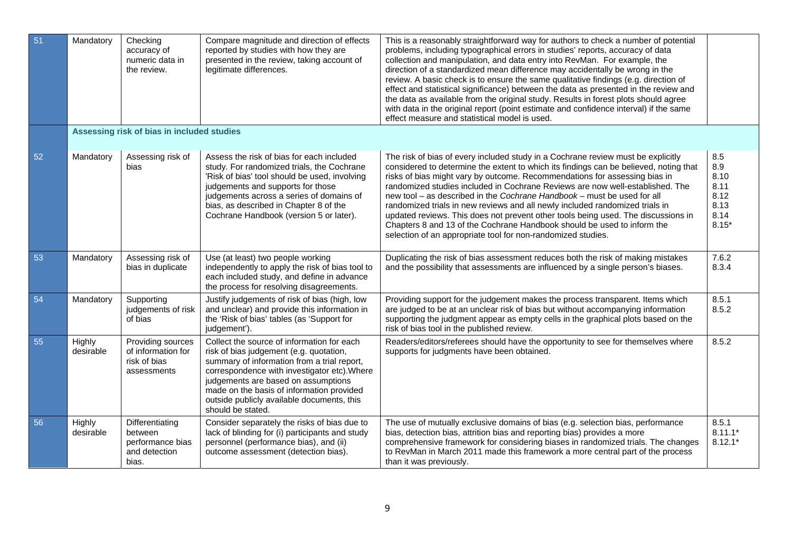| 51 | Mandatory           | Checking<br>accuracy of<br>numeric data in<br>the review.                | Compare magnitude and direction of effects<br>reported by studies with how they are<br>presented in the review, taking account of<br>legitimate differences.                                                                                                                                                                                | This is a reasonably straightforward way for authors to check a number of potential<br>problems, including typographical errors in studies' reports, accuracy of data<br>collection and manipulation, and data entry into RevMan. For example, the<br>direction of a standardized mean difference may accidentally be wrong in the<br>review. A basic check is to ensure the same qualitative findings (e.g. direction of<br>effect and statistical significance) between the data as presented in the review and<br>the data as available from the original study. Results in forest plots should agree<br>with data in the original report (point estimate and confidence interval) if the same<br>effect measure and statistical model is used. |                                                               |
|----|---------------------|--------------------------------------------------------------------------|---------------------------------------------------------------------------------------------------------------------------------------------------------------------------------------------------------------------------------------------------------------------------------------------------------------------------------------------|----------------------------------------------------------------------------------------------------------------------------------------------------------------------------------------------------------------------------------------------------------------------------------------------------------------------------------------------------------------------------------------------------------------------------------------------------------------------------------------------------------------------------------------------------------------------------------------------------------------------------------------------------------------------------------------------------------------------------------------------------|---------------------------------------------------------------|
|    |                     | Assessing risk of bias in included studies                               |                                                                                                                                                                                                                                                                                                                                             |                                                                                                                                                                                                                                                                                                                                                                                                                                                                                                                                                                                                                                                                                                                                                    |                                                               |
| 52 | Mandatory           | Assessing risk of<br>bias                                                | Assess the risk of bias for each included<br>study. For randomized trials, the Cochrane<br>'Risk of bias' tool should be used, involving<br>judgements and supports for those<br>judgements across a series of domains of<br>bias, as described in Chapter 8 of the<br>Cochrane Handbook (version 5 or later).                              | The risk of bias of every included study in a Cochrane review must be explicitly<br>considered to determine the extent to which its findings can be believed, noting that<br>risks of bias might vary by outcome. Recommendations for assessing bias in<br>randomized studies included in Cochrane Reviews are now well-established. The<br>new tool – as described in the Cochrane Handbook – must be used for all<br>randomized trials in new reviews and all newly included randomized trials in<br>updated reviews. This does not prevent other tools being used. The discussions in<br>Chapters 8 and 13 of the Cochrane Handbook should be used to inform the<br>selection of an appropriate tool for non-randomized studies.                | 8.5<br>8.9<br>8.10<br>8.11<br>8.12<br>8.13<br>8.14<br>$8.15*$ |
| 53 | Mandatory           | Assessing risk of<br>bias in duplicate                                   | Use (at least) two people working<br>independently to apply the risk of bias tool to<br>each included study, and define in advance<br>the process for resolving disagreements.                                                                                                                                                              | Duplicating the risk of bias assessment reduces both the risk of making mistakes<br>and the possibility that assessments are influenced by a single person's biases.                                                                                                                                                                                                                                                                                                                                                                                                                                                                                                                                                                               | 7.6.2<br>8.3.4                                                |
| 54 | Mandatory           | Supporting<br>judgements of risk<br>of bias                              | Justify judgements of risk of bias (high, low<br>and unclear) and provide this information in<br>the 'Risk of bias' tables (as 'Support for<br>judgement').                                                                                                                                                                                 | Providing support for the judgement makes the process transparent. Items which<br>are judged to be at an unclear risk of bias but without accompanying information<br>supporting the judgment appear as empty cells in the graphical plots based on the<br>risk of bias tool in the published review.                                                                                                                                                                                                                                                                                                                                                                                                                                              | 8.5.1<br>8.5.2                                                |
| 55 | Highly<br>desirable | Providing sources<br>of information for<br>risk of bias<br>assessments   | Collect the source of information for each<br>risk of bias judgement (e.g. quotation,<br>summary of information from a trial report,<br>correspondence with investigator etc). Where<br>judgements are based on assumptions<br>made on the basis of information provided<br>outside publicly available documents, this<br>should be stated. | Readers/editors/referees should have the opportunity to see for themselves where<br>supports for judgments have been obtained.                                                                                                                                                                                                                                                                                                                                                                                                                                                                                                                                                                                                                     | 8.5.2                                                         |
| 56 | Highly<br>desirable | Differentiating<br>between<br>performance bias<br>and detection<br>bias. | Consider separately the risks of bias due to<br>lack of blinding for (i) participants and study<br>personnel (performance bias), and (ii)<br>outcome assessment (detection bias).                                                                                                                                                           | The use of mutually exclusive domains of bias (e.g. selection bias, performance<br>bias, detection bias, attrition bias and reporting bias) provides a more<br>comprehensive framework for considering biases in randomized trials. The changes<br>to RevMan in March 2011 made this framework a more central part of the process<br>than it was previously.                                                                                                                                                                                                                                                                                                                                                                                       | 8.5.1<br>$8.11.1*$<br>$8.12.1*$                               |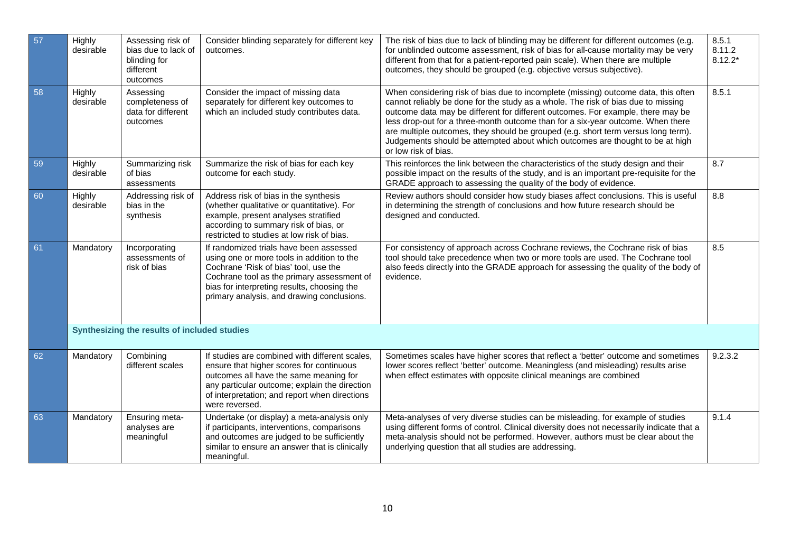| 57 | Highly<br>desirable | Assessing risk of<br>bias due to lack of<br>blinding for<br>different<br>outcomes | Consider blinding separately for different key<br>outcomes.                                                                                                                                                                                                               | The risk of bias due to lack of blinding may be different for different outcomes (e.g.<br>for unblinded outcome assessment, risk of bias for all-cause mortality may be very<br>different from that for a patient-reported pain scale). When there are multiple<br>outcomes, they should be grouped (e.g. objective versus subjective).                                                                                                                                                                                                     | 8.5.1<br>8.11.2<br>$8.12.2*$ |
|----|---------------------|-----------------------------------------------------------------------------------|---------------------------------------------------------------------------------------------------------------------------------------------------------------------------------------------------------------------------------------------------------------------------|---------------------------------------------------------------------------------------------------------------------------------------------------------------------------------------------------------------------------------------------------------------------------------------------------------------------------------------------------------------------------------------------------------------------------------------------------------------------------------------------------------------------------------------------|------------------------------|
| 58 | Highly<br>desirable | Assessing<br>completeness of<br>data for different<br>outcomes                    | Consider the impact of missing data<br>separately for different key outcomes to<br>which an included study contributes data.                                                                                                                                              | When considering risk of bias due to incomplete (missing) outcome data, this often<br>cannot reliably be done for the study as a whole. The risk of bias due to missing<br>outcome data may be different for different outcomes. For example, there may be<br>less drop-out for a three-month outcome than for a six-year outcome. When there<br>are multiple outcomes, they should be grouped (e.g. short term versus long term).<br>Judgements should be attempted about which outcomes are thought to be at high<br>or low risk of bias. | 8.5.1                        |
| 59 | Highly<br>desirable | Summarizing risk<br>of bias<br>assessments                                        | Summarize the risk of bias for each key<br>outcome for each study.                                                                                                                                                                                                        | This reinforces the link between the characteristics of the study design and their<br>possible impact on the results of the study, and is an important pre-requisite for the<br>GRADE approach to assessing the quality of the body of evidence.                                                                                                                                                                                                                                                                                            | 8.7                          |
| 60 | Highly<br>desirable | Addressing risk of<br>bias in the<br>synthesis                                    | Address risk of bias in the synthesis<br>(whether qualitative or quantitative). For<br>example, present analyses stratified<br>according to summary risk of bias, or<br>restricted to studies at low risk of bias.                                                        | Review authors should consider how study biases affect conclusions. This is useful<br>in determining the strength of conclusions and how future research should be<br>designed and conducted.                                                                                                                                                                                                                                                                                                                                               | 8.8                          |
| 61 | Mandatory           | Incorporating<br>assessments of<br>risk of bias                                   | If randomized trials have been assessed<br>using one or more tools in addition to the<br>Cochrane 'Risk of bias' tool, use the<br>Cochrane tool as the primary assessment of<br>bias for interpreting results, choosing the<br>primary analysis, and drawing conclusions. | For consistency of approach across Cochrane reviews, the Cochrane risk of bias<br>tool should take precedence when two or more tools are used. The Cochrane tool<br>also feeds directly into the GRADE approach for assessing the quality of the body of<br>evidence.                                                                                                                                                                                                                                                                       | 8.5                          |
|    |                     | Synthesizing the results of included studies                                      |                                                                                                                                                                                                                                                                           |                                                                                                                                                                                                                                                                                                                                                                                                                                                                                                                                             |                              |
| 62 | Mandatory           | Combining<br>different scales                                                     | If studies are combined with different scales,<br>ensure that higher scores for continuous<br>outcomes all have the same meaning for<br>any particular outcome; explain the direction<br>of interpretation; and report when directions<br>were reversed.                  | Sometimes scales have higher scores that reflect a 'better' outcome and sometimes<br>lower scores reflect 'better' outcome. Meaningless (and misleading) results arise<br>when effect estimates with opposite clinical meanings are combined                                                                                                                                                                                                                                                                                                | 9.2.3.2                      |
| 63 | Mandatory           | Ensuring meta-<br>analyses are<br>meaningful                                      | Undertake (or display) a meta-analysis only<br>if participants, interventions, comparisons<br>and outcomes are judged to be sufficiently<br>similar to ensure an answer that is clinically<br>meaningful.                                                                 | Meta-analyses of very diverse studies can be misleading, for example of studies<br>using different forms of control. Clinical diversity does not necessarily indicate that a<br>meta-analysis should not be performed. However, authors must be clear about the<br>underlying question that all studies are addressing.                                                                                                                                                                                                                     | 9.1.4                        |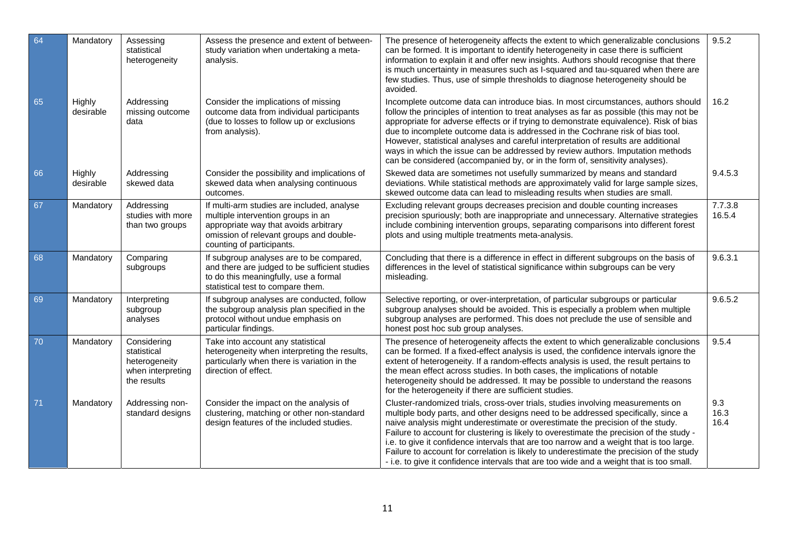| 64 | Mandatory           | Assessing<br>statistical<br>heterogeneity                                       | Assess the presence and extent of between-<br>study variation when undertaking a meta-<br>analysis.                                                                                               | The presence of heterogeneity affects the extent to which generalizable conclusions<br>can be formed. It is important to identify heterogeneity in case there is sufficient<br>information to explain it and offer new insights. Authors should recognise that there<br>is much uncertainty in measures such as I-squared and tau-squared when there are<br>few studies. Thus, use of simple thresholds to diagnose heterogeneity should be<br>avoided.                                                                                                                                                                                | 9.5.2               |
|----|---------------------|---------------------------------------------------------------------------------|---------------------------------------------------------------------------------------------------------------------------------------------------------------------------------------------------|----------------------------------------------------------------------------------------------------------------------------------------------------------------------------------------------------------------------------------------------------------------------------------------------------------------------------------------------------------------------------------------------------------------------------------------------------------------------------------------------------------------------------------------------------------------------------------------------------------------------------------------|---------------------|
| 65 | Highly<br>desirable | Addressing<br>missing outcome<br>data                                           | Consider the implications of missing<br>outcome data from individual participants<br>(due to losses to follow up or exclusions<br>from analysis).                                                 | Incomplete outcome data can introduce bias. In most circumstances, authors should<br>follow the principles of intention to treat analyses as far as possible (this may not be<br>appropriate for adverse effects or if trying to demonstrate equivalence). Risk of bias<br>due to incomplete outcome data is addressed in the Cochrane risk of bias tool.<br>However, statistical analyses and careful interpretation of results are additional<br>ways in which the issue can be addressed by review authors. Imputation methods<br>can be considered (accompanied by, or in the form of, sensitivity analyses).                      | 16.2                |
| 66 | Highly<br>desirable | Addressing<br>skewed data                                                       | Consider the possibility and implications of<br>skewed data when analysing continuous<br>outcomes.                                                                                                | Skewed data are sometimes not usefully summarized by means and standard<br>deviations. While statistical methods are approximately valid for large sample sizes,<br>skewed outcome data can lead to misleading results when studies are small.                                                                                                                                                                                                                                                                                                                                                                                         | 9.4.5.3             |
| 67 | Mandatory           | Addressing<br>studies with more<br>than two groups                              | If multi-arm studies are included, analyse<br>multiple intervention groups in an<br>appropriate way that avoids arbitrary<br>omission of relevant groups and double-<br>counting of participants. | Excluding relevant groups decreases precision and double counting increases<br>precision spuriously; both are inappropriate and unnecessary. Alternative strategies<br>include combining intervention groups, separating comparisons into different forest<br>plots and using multiple treatments meta-analysis.                                                                                                                                                                                                                                                                                                                       | 7.7.3.8<br>16.5.4   |
| 68 | Mandatory           | Comparing<br>subgroups                                                          | If subgroup analyses are to be compared,<br>and there are judged to be sufficient studies<br>to do this meaningfully, use a formal<br>statistical test to compare them.                           | Concluding that there is a difference in effect in different subgroups on the basis of<br>differences in the level of statistical significance within subgroups can be very<br>misleading.                                                                                                                                                                                                                                                                                                                                                                                                                                             | 9.6.3.1             |
| 69 | Mandatory           | Interpreting<br>subgroup<br>analyses                                            | If subgroup analyses are conducted, follow<br>the subgroup analysis plan specified in the<br>protocol without undue emphasis on<br>particular findings.                                           | Selective reporting, or over-interpretation, of particular subgroups or particular<br>subgroup analyses should be avoided. This is especially a problem when multiple<br>subgroup analyses are performed. This does not preclude the use of sensible and<br>honest post hoc sub group analyses.                                                                                                                                                                                                                                                                                                                                        | 9.6.5.2             |
| 70 | Mandatory           | Considering<br>statistical<br>heterogeneity<br>when interpreting<br>the results | Take into account any statistical<br>heterogeneity when interpreting the results,<br>particularly when there is variation in the<br>direction of effect.                                          | The presence of heterogeneity affects the extent to which generalizable conclusions<br>can be formed. If a fixed-effect analysis is used, the confidence intervals ignore the<br>extent of heterogeneity. If a random-effects analysis is used, the result pertains to<br>the mean effect across studies. In both cases, the implications of notable<br>heterogeneity should be addressed. It may be possible to understand the reasons<br>for the heterogeneity if there are sufficient studies.                                                                                                                                      | 9.5.4               |
| 71 | Mandatory           | Addressing non-<br>standard designs                                             | Consider the impact on the analysis of<br>clustering, matching or other non-standard<br>design features of the included studies.                                                                  | Cluster-randomized trials, cross-over trials, studies involving measurements on<br>multiple body parts, and other designs need to be addressed specifically, since a<br>naive analysis might underestimate or overestimate the precision of the study.<br>Failure to account for clustering is likely to overestimate the precision of the study -<br>i.e. to give it confidence intervals that are too narrow and a weight that is too large.<br>Failure to account for correlation is likely to underestimate the precision of the study<br>- i.e. to give it confidence intervals that are too wide and a weight that is too small. | 9.3<br>16.3<br>16.4 |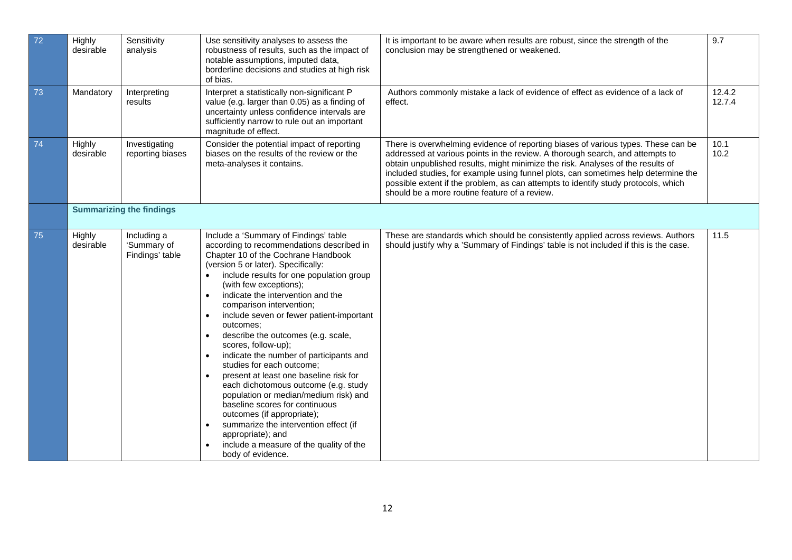| 72 | Highly<br>desirable | Sensitivity<br>analysis                       | Use sensitivity analyses to assess the<br>robustness of results, such as the impact of<br>notable assumptions, imputed data,<br>borderline decisions and studies at high risk<br>of bias.                                                                                                                                                                                                                                                                                                                                                                                                                                                                                                                                                                                                                                                   | It is important to be aware when results are robust, since the strength of the<br>conclusion may be strengthened or weakened.                                                                                                                                                                                                                                                                                                                                                      | 9.7              |
|----|---------------------|-----------------------------------------------|---------------------------------------------------------------------------------------------------------------------------------------------------------------------------------------------------------------------------------------------------------------------------------------------------------------------------------------------------------------------------------------------------------------------------------------------------------------------------------------------------------------------------------------------------------------------------------------------------------------------------------------------------------------------------------------------------------------------------------------------------------------------------------------------------------------------------------------------|------------------------------------------------------------------------------------------------------------------------------------------------------------------------------------------------------------------------------------------------------------------------------------------------------------------------------------------------------------------------------------------------------------------------------------------------------------------------------------|------------------|
| 73 | Mandatory           | Interpreting<br>results                       | Interpret a statistically non-significant P<br>value (e.g. larger than 0.05) as a finding of<br>uncertainty unless confidence intervals are<br>sufficiently narrow to rule out an important<br>magnitude of effect.                                                                                                                                                                                                                                                                                                                                                                                                                                                                                                                                                                                                                         | Authors commonly mistake a lack of evidence of effect as evidence of a lack of<br>effect.                                                                                                                                                                                                                                                                                                                                                                                          | 12.4.2<br>12.7.4 |
| 74 | Highly<br>desirable | Investigating<br>reporting biases             | Consider the potential impact of reporting<br>biases on the results of the review or the<br>meta-analyses it contains.                                                                                                                                                                                                                                                                                                                                                                                                                                                                                                                                                                                                                                                                                                                      | There is overwhelming evidence of reporting biases of various types. These can be<br>addressed at various points in the review. A thorough search, and attempts to<br>obtain unpublished results, might minimize the risk. Analyses of the results of<br>included studies, for example using funnel plots, can sometimes help determine the<br>possible extent if the problem, as can attempts to identify study protocols, which<br>should be a more routine feature of a review. | 10.1<br>10.2     |
|    |                     | <b>Summarizing the findings</b>               |                                                                                                                                                                                                                                                                                                                                                                                                                                                                                                                                                                                                                                                                                                                                                                                                                                             |                                                                                                                                                                                                                                                                                                                                                                                                                                                                                    |                  |
| 75 | Highly<br>desirable | Including a<br>'Summary of<br>Findings' table | Include a 'Summary of Findings' table<br>according to recommendations described in<br>Chapter 10 of the Cochrane Handbook<br>(version 5 or later). Specifically:<br>include results for one population group<br>(with few exceptions);<br>indicate the intervention and the<br>comparison intervention;<br>include seven or fewer patient-important<br>$\bullet$<br>outcomes:<br>describe the outcomes (e.g. scale,<br>scores, follow-up);<br>indicate the number of participants and<br>studies for each outcome;<br>present at least one baseline risk for<br>each dichotomous outcome (e.g. study<br>population or median/medium risk) and<br>baseline scores for continuous<br>outcomes (if appropriate);<br>summarize the intervention effect (if<br>appropriate); and<br>include a measure of the quality of the<br>body of evidence. | These are standards which should be consistently applied across reviews. Authors<br>should justify why a 'Summary of Findings' table is not included if this is the case.                                                                                                                                                                                                                                                                                                          | 11.5             |